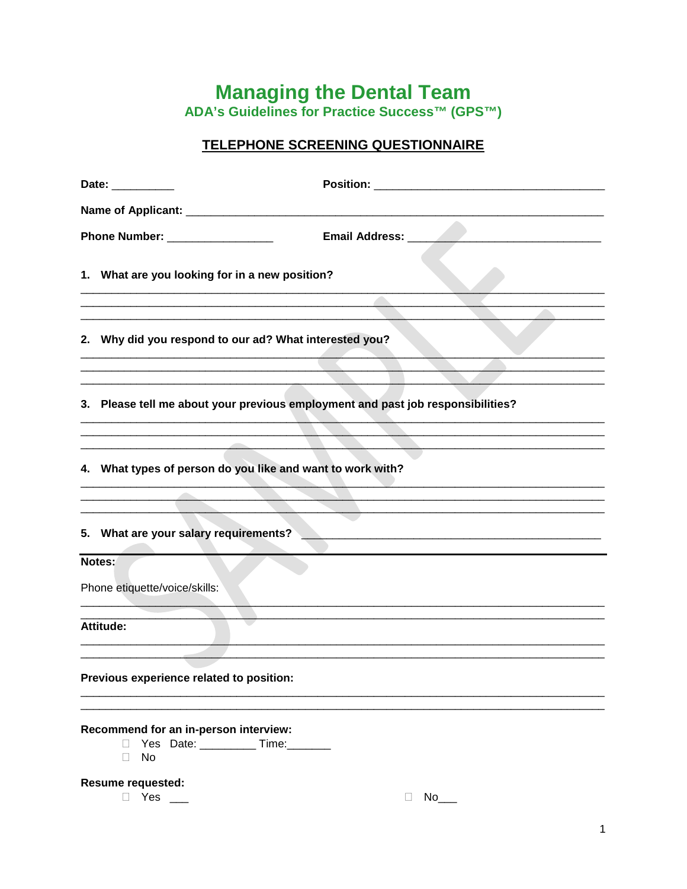## **Managing the Dental Team<br>ADA's Guidelines for Practice Success™ (GPS™)**

## TELEPHONE SCREENING QUESTIONNAIRE

|                                          | Date: _________                                                                                                                                                                                          |
|------------------------------------------|----------------------------------------------------------------------------------------------------------------------------------------------------------------------------------------------------------|
|                                          |                                                                                                                                                                                                          |
|                                          | Phone Number: _________________                                                                                                                                                                          |
|                                          | 1. What are you looking for in a new position?                                                                                                                                                           |
|                                          | 2. Why did you respond to our ad? What interested you?                                                                                                                                                   |
|                                          | <u> 1989 - Johann Barbara, martxa alemaniar amerikan basar da da a shekara a shekara a shekara a shekara a shekar</u><br>3. Please tell me about your previous employment and past job responsibilities? |
|                                          | 4. What types of person do you like and want to work with?                                                                                                                                               |
|                                          | 5. What are your salary requirements?                                                                                                                                                                    |
|                                          | Notes:                                                                                                                                                                                                   |
|                                          | Phone etiquette/voice/skills:                                                                                                                                                                            |
|                                          | Attitude:                                                                                                                                                                                                |
| Previous experience related to position: |                                                                                                                                                                                                          |
|                                          | Recommend for an in-person interview:<br>Yes Date: ___________Time: _______<br>$\mathbf{L}$<br>No<br>П                                                                                                   |
| <b>Resume requested:</b>                 |                                                                                                                                                                                                          |

 $\overline{\phantom{a}}$  P Yes \_\_

 $\Box$  No\_\_\_